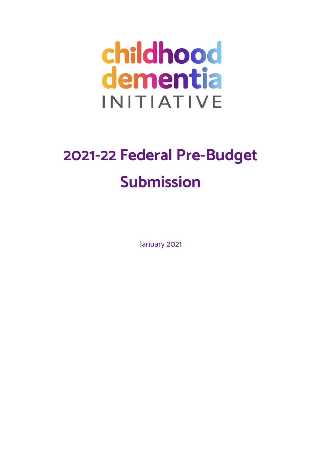# childhood dementia **INITIATIVE**

# **2021-22 Federal Pre-Budget Submission**

January 2021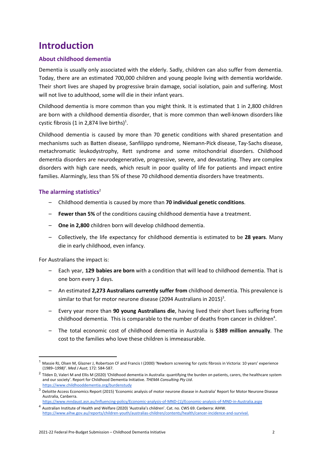# **Introduction**

# **About childhood dementia**

Dementia is usually only associated with the elderly. Sadly, children can also suffer from dementia. Today, there are an estimated 700,000 children and young people living with dementia worldwide. Their short lives are shaped by progressive brain damage, social isolation, pain and suffering. Most will not live to adulthood, some will die in their infant years.

Childhood dementia is more common than you might think. It is estimated that 1 in 2,800 children are born with a childhood dementia disorder, that is more common than well-known disorders like cystic fibrosis (1 in 2,874 live births)<sup>1</sup>.

Childhood dementia is caused by more than 70 genetic conditions with shared presentation and mechanisms such as Batten disease, Sanfilippo syndrome, Niemann-Pick disease, Tay-Sachs disease, metachromatic leukodystrophy, Rett syndrome and some mitochondrial disorders. Childhood dementia disorders are neurodegenerative, progressive, severe, and devastating. They are complex disorders with high care needs, which result in poor quality of life for patients and impact entire families. Alarmingly, less than 5% of these 70 childhood dementia disorders have treatments.

# The alarming statistics<sup>2</sup>

- Childhood dementia is caused by more than **70 individual genetic conditions**.
- **Fewer than 5%** of the conditions causing childhood dementia have a treatment.
- **One in 2,800** children born will develop childhood dementia.
- Collectively, the life expectancy for childhood dementia is estimated to be **28 years**. Many die in early childhood, even infancy.

For Australians the impact is:

- Each year, **129 babies are born** with a condition that will lead to childhood dementia. That is one born every 3 days.
- An estimated **2,273 Australians currently suffer from** childhood dementia. This prevalence is similar to that for motor neurone disease (2094 Australians in 2015)<sup>3</sup>.
- Every year more than **90 young Australians die**, having lived their short lives suffering from childhood dementia. This is comparable to the number of deaths from cancer in children<sup>4</sup>.
- The total economic cost of childhood dementia in Australia is **\$389 million annually**. The cost to the families who love these children is immeasurable.

<sup>1</sup> Massie RJ, Olsen M, Glazner J, Robertson CF and Francis I (2000) 'Newborn screening for cystic fibrosis in Victoria: 10 years' experience (1989–1*998)'*. *Med J Aust*; 172: 584-587.

 $2$  Tilden D, Valeri M and Ellis M (2020) 'Childhood dementia in Australia: quantifying the burden on patients, carers, the healthcare system and our socie[ty](http://www.childhooddementia.org/burdenstudy)'. Report for Childhood Dementia Initiative. *THEMA Consulting Pty Ltd*. <https://www.childhooddementia.org/burdenstudy>

 $^3$  Deloitte Access Economics Report (2015) 'Economic analysis of motor neurone disease in Australia' Report for Motor Neurone Disease Australia, Canberra.

[https://www.mndaust.asn.au/Influencing-policy/Economic-analysis-of-MND-\(1\)/Economic-analysis-of-MND-in-Australia.aspx](https://www.mndaust.asn.au/Influencing-policy/Economic-analysis-of-MND-(1)/Economic-analysis-of-MND-in-Australia.aspx) <sup>4</sup> Australian Institute of Health and Welfare (2020) 'Australia's children'. Cat. no. CWS 69. Canberra: AIHW.

<https://www.aihw.gov.au/reports/children-youth/australias-children/contents/health/cancer-incidence-and-survival.>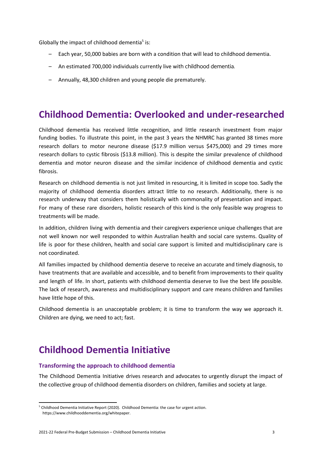Globally the impact of childhood dementia<sup>5</sup> is:

- Each year, 50,000 babies are born with a condition that will lead to childhood dementia.
- An estimated 700,000 individuals currently live with childhood dementia.
- Annually, 48,300 children and young people die prematurely.

# **Childhood Dementia: Overlooked and under-researched**

Childhood dementia has received little recognition, and little research investment from major funding bodies. To illustrate this point, in the past 3 years the NHMRC has granted 38 times more research dollars to motor neurone disease (\$17.9 million versus \$475,000) and 29 times more research dollars to cystic fibrosis (\$13.8 million). This is despite the similar prevalence of childhood dementia and motor neuron disease and the similar incidence of childhood dementia and cystic fibrosis.

Research on childhood dementia is not just limited in resourcing, it is limited in scope too. Sadly the majority of childhood dementia disorders attract little to no research. Additionally, there is no research underway that considers them holistically with commonality of presentation and impact. For many of these rare disorders, holistic research of this kind is the only feasible way progress to treatments will be made.

In addition, children living with dementia and their caregivers experience unique challenges that are not well known nor well responded to within Australian health and social care systems. Quality of life is poor for these children, health and social care support is limited and multidisciplinary care is not coordinated.

All families impacted by childhood dementia deserve to receive an accurate and timely diagnosis, to have treatments that are available and accessible, and to benefit from improvements to their quality and length of life. In short, patients with childhood dementia deserve to live the best life possible. The lack of research, awareness and multidisciplinary support and care means children and families have little hope of this.

Childhood dementia is an unacceptable problem; it is time to transform the way we approach it. Children are dying, we need to act; fast.

# **Childhood Dementia Initiative**

## **Transforming the approach to childhood dementia**

The Childhood Dementia Initiative drives research and advocates to urgently disrupt the impact of the collective group of childhood dementia disorders on children, families and society at large.

<sup>&</sup>lt;sup>5</sup> Childhood Dementia Initiative Report (2020). Childhood Dementia: the case for urgent action. [https://www.childhooddementia.org/whitepaper.](https://www.childhooddementia.org/whitepaper)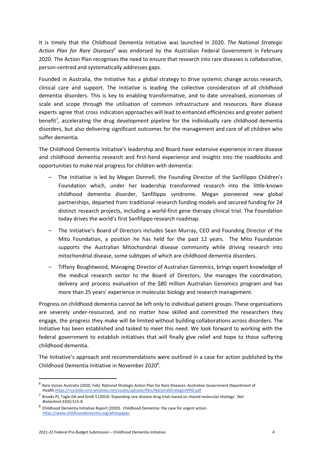It is timely that the Childhood Dementia Initiative was launched in 2020. *The National Strategic Action Plan for Rare Diseases <sup>6</sup>* was endorsed by the Australian Federal Government in February 2020. The Action Plan recognises the need to ensure that research into rare diseases is collaborative, person-centred and systematically addresses gaps.

Founded in Australia, the Initiative has a global strategy to drive systemic change across research, clinical care and support. The Initiative is leading the collective consideration of all childhood dementia disorders. This is key to enabling transformative, and to date unrealised, economies of scale and scope through the utilisation of common infrastructure and resources. Rare disease experts agree that cross indication approaches will lead to enhanced efficiencies and greater patient benefit<sup>7</sup>, accelerating the drug development pipeline for the individually rare childhood dementia disorders, but also delivering significant outcomes for the management and care of all children who suffer dementia.

The Childhood Dementia Initiative's leadership and Board have extensive experience in rare disease and childhood dementia research and first-hand experience and insights into the roadblocks and opportunities to make real progress for children with dementia:

- The Initiative is led by Megan Donnell, the Founding Director of the Sanfilippo Children's Foundation which, under her leadership transformed research into the little-known childhood dementia disorder, Sanfilippo syndrome. Megan pioneered new global partnerships, departed from traditional research funding models and secured funding for 24 distinct research projects, including a world-first gene therapy clinical trial. The Foundation today drives the world's first Sanfilippo research roadmap.
- The Initiative's Board of Directors includes Sean Murray, CEO and Founding Director of the Mito Foundation, a position he has held for the past 12 years. The Mito Foundation supports the Australian Mitochondrial disease community while driving research into mitochondrial disease, some subtypes of which are childhood dementia disorders.
- Tiffany Boughtwood, Managing Director of Australian Genomics, brings expert knowledge of the medical research sector to the Board of Directors. She manages the coordination, delivery and process evaluation of the \$80 million Australian Genomics program and has more than 25 years' experience in molecular biology and research management.

Progress on childhood dementia cannot be left only to individual patient groups. These organisations are severely under-resourced, and no matter how skilled and committed the researchers they engage, the progress they make will be limited without building collaborations across disorders. The Initiative has been established and tasked to meet this need. We look forward to working with the federal government to establish initiatives that will finally give relief and hope to those suffering childhood dementia.

The Initiative's approach and recommendations were outlined in a case for action published by the Childhood Dementia Initiative in November 2020<sup>8</sup>.

 $^6$  Rare Voices Australia (2020, Feb). National Strategic Action Plan for Rare Diseases. Australian Government Department of Health[.https://rva.blob.core.windows.net/assets/uploads/files/NationalStrategicAPRD.pdf](https://rva.blob.core.windows.net/assets/uploads/files/NationalStrategicAPRD.pdf)

<sup>7</sup> Brooks PJ, Tagle DA and Groft S (2014) 'Expanding rare disease drug trials based on shared molecular etiology'. *Nat Biotechnol*;32(6):515-8

 $8$  Childhood Dementia Initiative Report (2020). Childhood Dementia: the case for urgent action. [https://www.childhooddementia.org/whitepaper.](https://www.childhooddementia.org/whitepaper)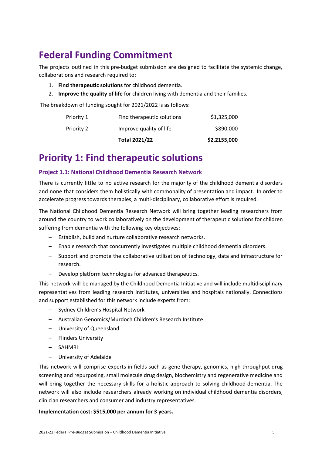# **Federal Funding Commitment**

The projects outlined in this pre-budget submission are designed to facilitate the systemic change, collaborations and research required to:

- 1. **Find therapeutic solutions** for childhood dementia.
- 2. **Improve the quality of life** for children living with dementia and their families.

The breakdown of funding sought for 2021/2022 is as follows:

|            | <b>Total 2021/22</b>       | \$2,2155,000 |
|------------|----------------------------|--------------|
| Priority 2 | Improve quality of life    | \$890,000    |
| Priority 1 | Find therapeutic solutions | \$1,325,000  |

# **Priority 1: Find therapeutic solutions**

# **Project 1.1: National Childhood Dementia Research Network**

There is currently little to no active research for the majority of the childhood dementia disorders and none that considers them holistically with commonality of presentation and impact. In order to accelerate progress towards therapies, a multi-disciplinary, collaborative effort is required.

The National Childhood Dementia Research Network will bring together leading researchers from around the country to work collaboratively on the development of therapeutic solutions for children suffering from dementia with the following key objectives:

- Establish, build and nurture collaborative research networks.
- Enable research that concurrently investigates multiple childhood dementia disorders.
- Support and promote the collaborative utilisation of technology, data and infrastructure for research.
- Develop platform technologies for advanced therapeutics.

This network will be managed by the Childhood Dementia Initiative and will include multidisciplinary representatives from leading research institutes, universities and hospitals nationally. Connections and support established for this network include experts from:

- Sydney Children's Hospital Network
- Australian Genomics/Murdoch Children's Research Institute
- University of Queensland
- Flinders University
- SAHMRI
- University of Adelaide

This network will comprise experts in fields such as gene therapy, genomics, high throughput drug screening and repurposing, small molecule drug design, biochemistry and regenerative medicine and will bring together the necessary skills for a holistic approach to solving childhood dementia. The network will also include researchers already working on individual childhood dementia disorders, clinician researchers and consumer and industry representatives.

## **Implementation cost: \$515,000 per annum for 3 years.**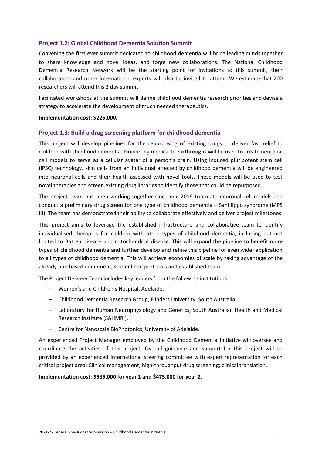## **Project 1.2: Global Childhood Dementia Solution Summit**

Convening the first ever summit dedicated to childhood dementia will bring leading minds together to share knowledge and novel ideas, and forge new collaborations. The National Childhood Dementia Research Network will be the starting point for invitations to this summit, their collaborators and other international experts will also be invited to attend. We estimate that 200 researchers will attend this 2 day summit.

Facilitated workshops at the summit will define childhood dementia research priorities and devise a strategy to accelerate the development of much needed therapeutics.

#### **Implementation cost: \$225,000.**

#### **Project 1.3: Build a drug screening platform for childhood dementia**

This project will develop pipelines for the repurposing of existing drugs to deliver fast relief to children with childhood dementia. Pioneering medical breakthroughs will be used to create neuronal cell models to serve as a cellular avatar of a person's brain. Using induced pluripotent stem cell (iPSC) technology, skin cells from an individual affected by childhood dementia will be engineered into neuronal cells and their health assessed with novel tools. These models will be used to test novel therapies and screen existing drug libraries to identify those that could be repurposed.

The project team has been working together since mid-2019 to create neuronal cell models and conduct a preliminary drug screen for one type of childhood dementia – Sanfilippo syndrome (MPS III). The team has demonstrated their ability to collaborate effectively and deliver project milestones.

This project aims to leverage the established infrastructure and collaborative team to identify individualised therapies for children with other types of childhood dementia, including but not limited to Batten disease and mitochondrial disease. This will expand the pipeline to benefit more types of childhood dementia and further develop and refine this pipeline for even wider application to all types of childhood dementia. This will achieve economies of scale by taking advantage of the already purchased equipment, streamlined protocols and established team.

The Project Delivery Team includes key leaders from the following institutions:

- Women's and Children's Hospital, Adelaide.
- Childhood Dementia Research Group, Flinders University, South Australia.
- Laboratory for Human Neurophysiology and Genetics, South Australian Health and Medical Research Institute (SAHMRI).
- Centre for Nanoscale BioPhotonics, University of Adelaide.

An experienced Project Manager employed by the Childhood Dementia Initiative will oversee and coordinate the activities of this project. Overall guidance and support for this project will be provided by an experienced international steering committee with expert representation for each critical project area: Clinical management; high-throughput drug screening; clinical translation.

#### **Implementation cost: \$585,000 for year 1 and \$475,000 for year 2.**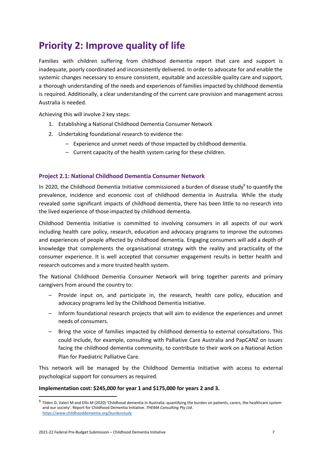# **Priority 2: Improve quality of life**

Families with children suffering from childhood dementia report that care and support is inadequate, poorly coordinated and inconsistently delivered. In order to advocate for and enable the systemic changes necessary to ensure consistent, equitable and accessible quality care and support, a thorough understanding of the needs and experiences of families impacted by childhood dementia is required. Additionally, a clear understanding of the current care provision and management across Australia is needed.

Achieving this will involve 2 key steps:

- 1. Establishing a National Childhood Dementia Consumer Network
- 2. Undertaking foundational research to evidence the:
	- Experience and unmet needs of those impacted by childhood dementia.
	- Current capacity of the health system caring for these children.

# **Project 2.1: National Childhood Dementia Consumer Network**

In 2020, the Childhood Dementia Initiative commissioned a burden of disease study<sup>9</sup> to quantify the prevalence, incidence and economic cost of childhood dementia in Australia. While the study revealed some significant impacts of childhood dementia, there has been little to no research into the lived experience of those impacted by childhood dementia.

Childhood Dementia Initiative is committed to involving consumers in all aspects of our work including health care policy, research, education and advocacy programs to improve the outcomes and experiences of people affected by childhood dementia. Engaging consumers will add a depth of knowledge that complements the organisational strategy with the reality and practicality of the consumer experience. It is well accepted that consumer engagement results in better health and research outcomes and a more trusted health system.

The National Childhood Dementia Consumer Network will bring together parents and primary caregivers from around the country to:

- Provide input on, and participate in, the research, health care policy, education and advocacy programs led by the Childhood Dementia Initiative.
- Inform foundational research projects that will aim to evidence the experiences and unmet needs of consumers.
- Bring the voice of families impacted by childhood dementia to external consultations. This could include, for example, consulting with Palliative Care Australia and PapCANZ on issues facing the childhood dementia community, to contribute to their work on a National Action Plan for Paediatric Palliative Care.

This network will be managed by the Childhood Dementia Initiative with access to external psychological support for consumers as required.

## **Implementation cost: \$245,000 for year 1 and \$175,000 for years 2 and 3.**

 $9$  Tilden D, Valeri M and Ellis M (2020) 'Childhood dementia in Australia: quantifying the burden on patients, carers, the healthcare system and our socie[ty](http://www.childhooddementia.org/burdenstudy)'. Report for Childhood Dementia Initiative. *THEMA Consulting Pty Ltd*. <https://www.childhooddementia.org/burdenstudy>